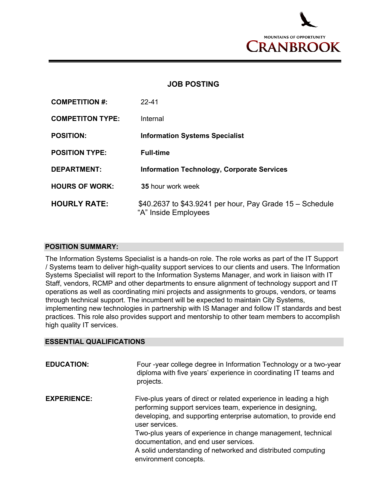

## **JOB POSTING**

| <b>COMPETITION #:</b>   | $22 - 41$                                                                        |
|-------------------------|----------------------------------------------------------------------------------|
| <b>COMPETITON TYPE:</b> | Internal                                                                         |
| <b>POSITION:</b>        | <b>Information Systems Specialist</b>                                            |
| <b>POSITION TYPE:</b>   | <b>Full-time</b>                                                                 |
| <b>DEPARTMENT:</b>      | <b>Information Technology, Corporate Services</b>                                |
| <b>HOURS OF WORK:</b>   | <b>35 hour work week</b>                                                         |
| <b>HOURLY RATE:</b>     | \$40.2637 to \$43.9241 per hour, Pay Grade 15 - Schedule<br>"A" Inside Employees |

## **POSITION SUMMARY:**

The Information Systems Specialist is a hands-on role. The role works as part of the IT Support / Systems team to deliver high-quality support services to our clients and users. The Information Systems Specialist will report to the Information Systems Manager, and work in liaison with IT Staff, vendors, RCMP and other departments to ensure alignment of technology support and IT operations as well as coordinating mini projects and assignments to groups, vendors, or teams through technical support. The incumbent will be expected to maintain City Systems, implementing new technologies in partnership with IS Manager and follow IT standards and best practices. This role also provides support and mentorship to other team members to accomplish high quality IT services.

## **ESSENTIAL QUALIFICATIONS**

| <b>EDUCATION:</b>  | Four -year college degree in Information Technology or a two-year<br>diploma with five years' experience in coordinating IT teams and<br>projects.                                                                                                                                                                                                                                                                      |
|--------------------|-------------------------------------------------------------------------------------------------------------------------------------------------------------------------------------------------------------------------------------------------------------------------------------------------------------------------------------------------------------------------------------------------------------------------|
| <b>EXPERIENCE:</b> | Five-plus years of direct or related experience in leading a high<br>performing support services team, experience in designing,<br>developing, and supporting enterprise automation, to provide end<br>user services.<br>Two-plus years of experience in change management, technical<br>documentation, and end user services.<br>A solid understanding of networked and distributed computing<br>environment concepts. |